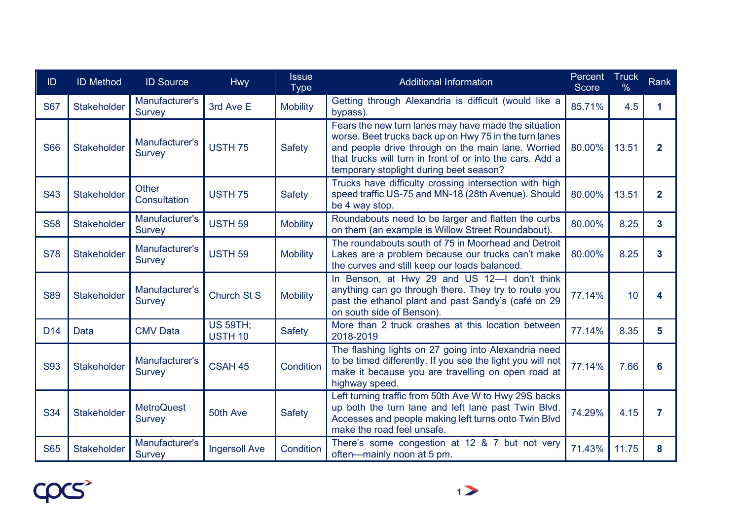| ID              | <b>ID Method</b>   | <b>ID Source</b>                   | <b>Hwy</b>                        | <b>Issue</b><br><b>Type</b> | <b>Additional Information</b>                                                                                                                                                                                                                                                | Percent<br><b>Score</b> | <b>Truck</b><br>$\frac{0}{6}$ | Rank           |
|-----------------|--------------------|------------------------------------|-----------------------------------|-----------------------------|------------------------------------------------------------------------------------------------------------------------------------------------------------------------------------------------------------------------------------------------------------------------------|-------------------------|-------------------------------|----------------|
| <b>S67</b>      | Stakeholder        | Manufacturer's<br><b>Survey</b>    | 3rd Ave E                         | <b>Mobility</b>             | Getting through Alexandria is difficult (would like a<br>bypass).                                                                                                                                                                                                            | 85.71%                  | 4.5                           | 1              |
| <b>S66</b>      | Stakeholder        | Manufacturer's<br><b>Survey</b>    | <b>USTH 75</b>                    | <b>Safety</b>               | Fears the new turn lanes may have made the situation<br>worse. Beet trucks back up on Hwy 75 in the turn lanes<br>and people drive through on the main lane. Worried<br>that trucks will turn in front of or into the cars. Add a<br>temporary stoplight during beet season? | 80.00%                  | 13.51                         | $\overline{2}$ |
| <b>S43</b>      | <b>Stakeholder</b> | Other<br>Consultation              | <b>USTH 75</b>                    | <b>Safety</b>               | Trucks have difficulty crossing intersection with high<br>speed traffic US-75 and MN-18 (28th Avenue). Should<br>be 4 way stop.                                                                                                                                              | 80.00%                  | 13.51                         | $\overline{2}$ |
| <b>S58</b>      | <b>Stakeholder</b> | Manufacturer's<br><b>Survey</b>    | <b>USTH 59</b>                    | <b>Mobility</b>             | Roundabouts need to be larger and flatten the curbs<br>on them (an example is Willow Street Roundabout).                                                                                                                                                                     | 80.00%                  | 8.25                          | 3              |
| <b>S78</b>      | <b>Stakeholder</b> | Manufacturer's<br><b>Survey</b>    | <b>USTH 59</b>                    | <b>Mobility</b>             | The roundabouts south of 75 in Moorhead and Detroit<br>Lakes are a problem because our trucks can't make<br>the curves and still keep our loads balanced.                                                                                                                    | 80.00%                  | 8.25                          | 3              |
| <b>S89</b>      | Stakeholder        | Manufacturer's<br><b>Survey</b>    | <b>Church St S</b>                | <b>Mobility</b>             | In Benson, at Hwy 29 and US 12-I don't think<br>anything can go through there. They try to route you<br>past the ethanol plant and past Sandy's (café on 29<br>on south side of Benson).                                                                                     | 77.14%                  | 10                            | 4              |
| D <sub>14</sub> | Data               | <b>CMV Data</b>                    | <b>US 59TH;</b><br><b>USTH 10</b> | <b>Safety</b>               | More than 2 truck crashes at this location between<br>2018-2019                                                                                                                                                                                                              | 77.14%                  | 8.35                          | 5              |
| <b>S93</b>      | Stakeholder        | Manufacturer's<br><b>Survey</b>    | CSAH 45                           | Condition                   | The flashing lights on 27 going into Alexandria need<br>to be timed differently. If you see the light you will not<br>make it because you are travelling on open road at<br>highway speed.                                                                                   | 77.14%                  | 7.66                          | 6              |
| <b>S34</b>      | Stakeholder        | <b>MetroQuest</b><br><b>Survey</b> | 50th Ave                          | <b>Safety</b>               | Left turning traffic from 50th Ave W to Hwy 29S backs<br>up both the turn lane and left lane past Twin Blvd.<br>Accesses and people making left turns onto Twin Blvd<br>make the road feel unsafe.                                                                           | 74.29%                  | 4.15                          | 7              |
| <b>S65</b>      | <b>Stakeholder</b> | Manufacturer's<br><b>Survey</b>    | <b>Ingersoll Ave</b>              | Condition                   | There's some congestion at 12 & 7 but not very<br>often—mainly noon at 5 pm.                                                                                                                                                                                                 | 71.43%                  | 11.75                         | 8              |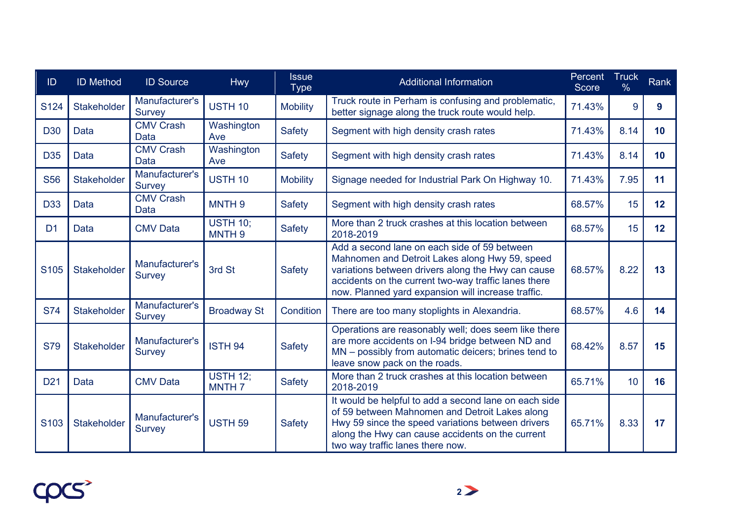| ID               | <b>ID Method</b>   | <b>ID Source</b>                | Hwy                                  | <b>Issue</b><br><b>Type</b> | <b>Additional Information</b>                                                                                                                                                                                                                                      | Percent<br><b>Score</b> | <b>Truck</b><br>$\frac{0}{0}$ | <b>Rank</b>     |
|------------------|--------------------|---------------------------------|--------------------------------------|-----------------------------|--------------------------------------------------------------------------------------------------------------------------------------------------------------------------------------------------------------------------------------------------------------------|-------------------------|-------------------------------|-----------------|
| S124             | Stakeholder        | Manufacturer's<br><b>Survey</b> | USTH <sub>10</sub>                   | <b>Mobility</b>             | Truck route in Perham is confusing and problematic,<br>better signage along the truck route would help.                                                                                                                                                            | 71.43%                  | 9                             | 9               |
| <b>D30</b>       | Data               | <b>CMV Crash</b><br>Data        | Washington<br>Ave                    | Safety                      | Segment with high density crash rates                                                                                                                                                                                                                              | 71.43%                  | 8.14                          | 10 <sup>°</sup> |
| D <sub>35</sub>  | <b>Data</b>        | <b>CMV Crash</b><br>Data        | Washington<br>Ave                    | <b>Safety</b>               | Segment with high density crash rates                                                                                                                                                                                                                              | 71.43%                  | 8.14                          | 10              |
| <b>S56</b>       | Stakeholder        | Manufacturer's<br><b>Survey</b> | <b>USTH 10</b>                       | <b>Mobility</b>             | Signage needed for Industrial Park On Highway 10.                                                                                                                                                                                                                  | 71.43%                  | 7.95                          | 11              |
| <b>D33</b>       | Data               | <b>CMV Crash</b><br><b>Data</b> | MNTH <sub>9</sub>                    | <b>Safety</b>               | Segment with high density crash rates                                                                                                                                                                                                                              | 68.57%                  | 15                            | 12              |
| D <sub>1</sub>   | Data               | <b>CMV Data</b>                 | <b>USTH 10;</b><br>MNTH <sub>9</sub> | <b>Safety</b>               | More than 2 truck crashes at this location between<br>2018-2019                                                                                                                                                                                                    | 68.57%                  | 15                            | 12              |
| S <sub>105</sub> | Stakeholder        | Manufacturer's<br><b>Survey</b> | 3rd St                               | Safety                      | Add a second lane on each side of 59 between<br>Mahnomen and Detroit Lakes along Hwy 59, speed<br>variations between drivers along the Hwy can cause<br>accidents on the current two-way traffic lanes there<br>now. Planned yard expansion will increase traffic. | 68.57%                  | 8.22                          | 13              |
| <b>S74</b>       | <b>Stakeholder</b> | Manufacturer's<br><b>Survey</b> | <b>Broadway St</b>                   | Condition                   | There are too many stoplights in Alexandria.                                                                                                                                                                                                                       | 68.57%                  | 4.6                           | 14              |
| <b>S79</b>       | Stakeholder        | Manufacturer's<br><b>Survey</b> | <b>ISTH 94</b>                       | <b>Safety</b>               | Operations are reasonably well; does seem like there<br>are more accidents on I-94 bridge between ND and<br>MN - possibly from automatic deicers; brines tend to<br>leave snow pack on the roads.                                                                  | 68.42%                  | 8.57                          | 15              |
| D <sub>21</sub>  | Data               | <b>CMV Data</b>                 | <b>USTH 12:</b><br>MNTH <sub>7</sub> | <b>Safety</b>               | More than 2 truck crashes at this location between<br>2018-2019                                                                                                                                                                                                    | 65.71%                  | 10                            | 16              |
| S <sub>103</sub> | <b>Stakeholder</b> | Manufacturer's<br><b>Survey</b> | <b>USTH 59</b>                       | Safety                      | It would be helpful to add a second lane on each side<br>of 59 between Mahnomen and Detroit Lakes along<br>Hwy 59 since the speed variations between drivers<br>along the Hwy can cause accidents on the current<br>two way traffic lanes there now.               | 65.71%                  | 8.33                          | 17              |